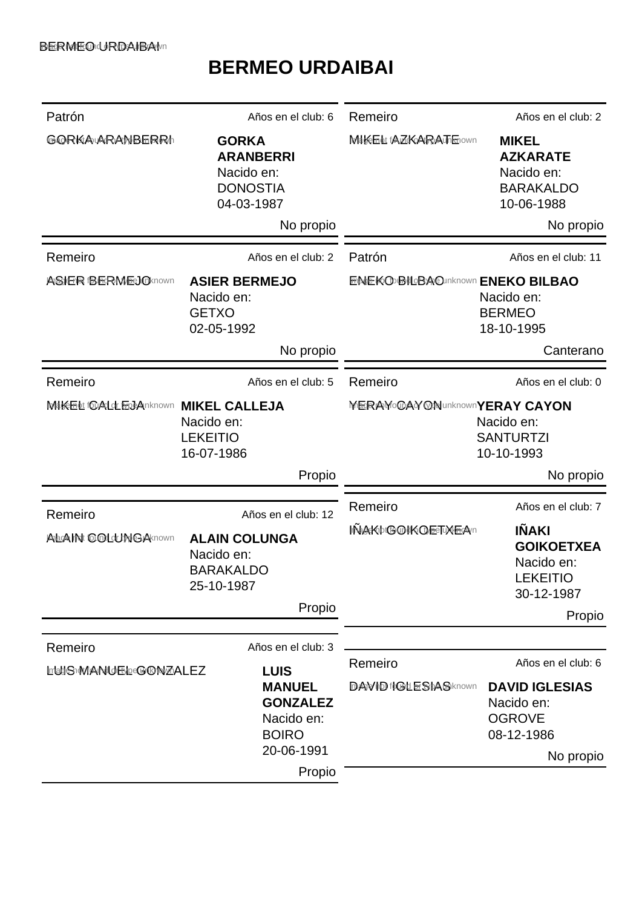## **BERMEO URDAIBAI**

| Patrón                                                                                                      | Años en el club: 6                                                                                                          | Remeiro                                                                                            | Años en el club: 2                                                                                    |
|-------------------------------------------------------------------------------------------------------------|-----------------------------------------------------------------------------------------------------------------------------|----------------------------------------------------------------------------------------------------|-------------------------------------------------------------------------------------------------------|
| <b>GORKA ARANBERRI</b>                                                                                      | <b>GORKA</b><br><b>ARANBERRI</b><br>Nacido en:<br><b>DONOSTIA</b><br>04-03-1987                                             | MIKE Lt fAZKARATErown                                                                              | <b>MIKEL</b><br><b>AZKARATE</b><br>Nacido en:<br><b>BARAKALDO</b><br>10-06-1988                       |
|                                                                                                             | No propio                                                                                                                   |                                                                                                    | No propio                                                                                             |
| Remeiro                                                                                                     | Años en el club: 2                                                                                                          | Patrón                                                                                             | Años en el club: 11                                                                                   |
| ASER BERMEJOKnown                                                                                           | <b>ASIER BERMEJO</b><br>Nacido en:<br><b>GETXO</b><br>02-05-1992<br>No propio                                               | <b>ENEKO BILBAO Inknown ENEKO BILBAO</b>                                                           | Nacido en:<br><b>BERMEO</b><br>18-10-1995<br>Canterano                                                |
|                                                                                                             |                                                                                                                             |                                                                                                    |                                                                                                       |
| Remeiro                                                                                                     | Años en el club: 5                                                                                                          | Remeiro                                                                                            | Años en el club: 0                                                                                    |
| MIKE für Addr Free Anknown<br><b>MIKEL CALLEJA</b><br>Nacido en:<br><b>LEKEITIO</b><br>16-07-1986<br>Propio |                                                                                                                             | <b>MERAMOGAY @NunknownYERAY CAYON</b><br>Nacido en:<br><b>SANTURTZI</b><br>10-10-1993<br>No propio |                                                                                                       |
|                                                                                                             |                                                                                                                             |                                                                                                    |                                                                                                       |
| Remeiro<br>ABGAIN COLUMGAKnown                                                                              | Años en el club: 12<br><b>ALAIN COLUNGA</b><br>Nacido en:<br><b>BARAKALDO</b><br>25-10-1987<br>Propio                       | Remeiro<br><b>INAKbtGOIKOETWEA</b> n                                                               | Años en el club: 7<br>IÑAKI<br><b>GOIKOETXEA</b><br>Nacido en:<br><b>LEKEITIO</b><br>30-12-1987       |
|                                                                                                             |                                                                                                                             |                                                                                                    | Propio                                                                                                |
| Remeiro<br><b>LIGHS MANUEL GONZALEZ</b>                                                                     | Años en el club: 3<br><b>LUIS</b><br><b>MANUEL</b><br><b>GONZALEZ</b><br>Nacido en:<br><b>BOIRO</b><br>20-06-1991<br>Propio | Remeiro<br><b>DAVID fOLE SIASKnown</b>                                                             | Años en el club: 6<br><b>DAVID IGLESIAS</b><br>Nacido en:<br><b>OGROVE</b><br>08-12-1986<br>No propio |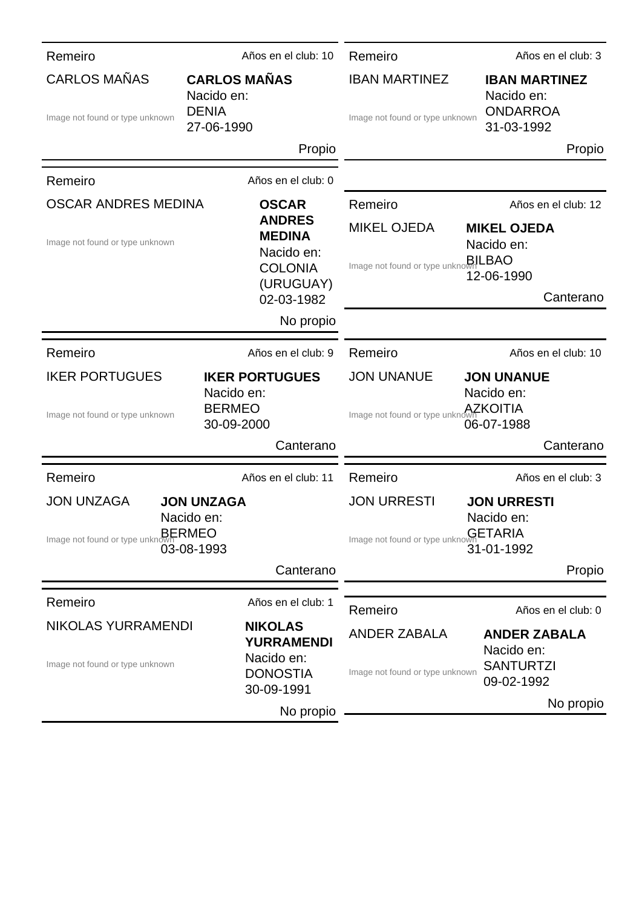| Remeiro                                                                                                                                     | Años en el club: 10                                             |                                                                      | Remeiro                                                 | Años en el club: 3                                                  |
|---------------------------------------------------------------------------------------------------------------------------------------------|-----------------------------------------------------------------|----------------------------------------------------------------------|---------------------------------------------------------|---------------------------------------------------------------------|
| <b>CARLOS MAÑAS</b><br>Image not found or type unknown                                                                                      | <b>CARLOS MAÑAS</b><br>Nacido en:<br><b>DENIA</b><br>27-06-1990 |                                                                      | <b>IBAN MARTINEZ</b><br>Image not found or type unknown | <b>IBAN MARTINEZ</b><br>Nacido en:<br><b>ONDARROA</b><br>31-03-1992 |
|                                                                                                                                             |                                                                 | Propio                                                               |                                                         | Propio                                                              |
| Remeiro                                                                                                                                     | Años en el club: 0                                              |                                                                      |                                                         |                                                                     |
| <b>OSCAR ANDRES MEDINA</b>                                                                                                                  |                                                                 | <b>OSCAR</b><br><b>ANDRES</b><br><b>MEDINA</b><br>Nacido en:         | Remeiro                                                 | Años en el club: 12                                                 |
| Image not found or type unknown                                                                                                             |                                                                 |                                                                      | <b>MIKEL OJEDA</b>                                      | <b>MIKEL OJEDA</b><br>Nacido en:                                    |
|                                                                                                                                             | <b>COLONIA</b><br>(URUGUAY)                                     |                                                                      | Image not found or type unknown LBAO                    | 12-06-1990<br>Canterano                                             |
|                                                                                                                                             | 02-03-1982                                                      | No propio                                                            |                                                         |                                                                     |
|                                                                                                                                             |                                                                 |                                                                      |                                                         |                                                                     |
| Remeiro                                                                                                                                     | Años en el club: 9                                              |                                                                      | Remeiro                                                 | Años en el club: 10                                                 |
| <b>IKER PORTUGUES</b><br><b>IKER PORTUGUES</b><br>Nacido en:<br><b>BERMEO</b><br>Image not found or type unknown<br>30-09-2000              |                                                                 | <b>JON UNANUE</b><br>Image not found or type unknown <b>AZKOITIA</b> | <b>JON UNANUE</b><br>Nacido en:<br>06-07-1988           |                                                                     |
|                                                                                                                                             |                                                                 | Canterano                                                            |                                                         | Canterano                                                           |
| Remeiro                                                                                                                                     | Años en el club: 11                                             |                                                                      | Remeiro                                                 | Años en el club: 3                                                  |
| <b>JON UNZAGA</b><br><b>JON UNZAGA</b>                                                                                                      |                                                                 | <b>JON URRESTI</b>                                                   | <b>JON URRESTI</b>                                      |                                                                     |
| Image not found or type unknown <b>BERMEO</b>                                                                                               | Nacido en:<br>03-08-1993                                        |                                                                      | Image not found or type unknown <b>GETARIA</b>          | Nacido en:<br>31-01-1992                                            |
|                                                                                                                                             |                                                                 | Canterano                                                            |                                                         | Propio                                                              |
| Remeiro                                                                                                                                     | Años en el club: 1                                              |                                                                      |                                                         |                                                                     |
| NIKOLAS YURRAMENDI<br><b>NIKOLAS</b><br><b>YURRAMENDI</b><br>Nacido en:<br>Image not found or type unknown<br><b>DONOSTIA</b><br>30-09-1991 |                                                                 |                                                                      | Remeiro                                                 | Años en el club: 0                                                  |
|                                                                                                                                             |                                                                 |                                                                      | <b>ANDER ZABALA</b><br>Image not found or type unknown  | <b>ANDER ZABALA</b><br>Nacido en:<br><b>SANTURTZI</b><br>09-02-1992 |
|                                                                                                                                             |                                                                 | No propio                                                            |                                                         | No propio                                                           |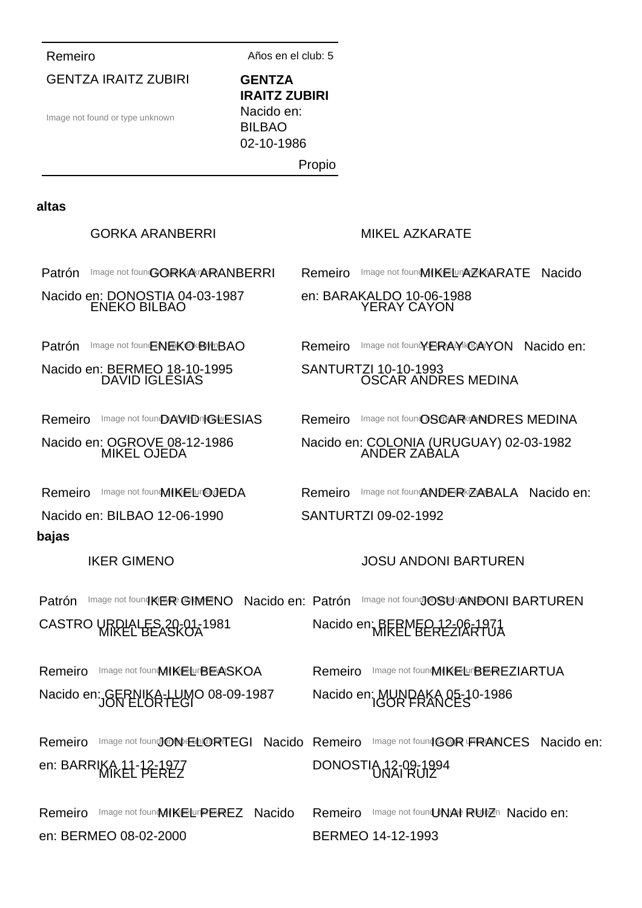Remeiro Años en el club: 5

GENTZA IRAITZ ZUBIRI Image not found or type unknown **GENTZA IRAITZ ZUBIRI** Nacido en: BILBAO 02-10-1986 Propio **altas** Patrón Image not founGORKA ARANBERRI GORKA ARANBERRI Nacido e<u>n: DONOSTIA</u> 04-03-1987 Remeiro Image not fount MIKEL UPAZKARATE Nacido MIKEL AZKARATE en: BARAKALDO 10-06-1988 Patrón Image not foun ENEKO BILBAO ENEKO BILBAO Nacido en: BERMEO 18-10-1995 Remeiro Image not found VERAY KOAYON Nacido en: YERAY CAYON SANTURTZI 10-10-1993 Remeiro Image not found AWID IGLESIAS DAVID IGLESIAS Nacido en: OGROVE 08-12-1986 Remeiro Image not foun@SCAR <<a>
Remeiro<br/>
Image not foun@SCAR <<a>
Remeiro<br/>
Image not foun<br/>
OSCAR <<a>
Remeiro OSCAR ANDRES MEDINA Nacido en: COLONIA (URUGUAY) 02-03-1982 Remeiro Image not founMIKELur@gEDA MIKEL OJEDA Nacido en: BILBAO 12-06-1990 Remeiro Image not founANDER ZABALA Nacido en: ANDER ZABALA SANTURTZI 09-02-1992 **bajas** Patrón IKER GIMENO Image not found KER GIMENO Nacido en: Patrón CASTRO URDIALES 20-01-1981 JOSU ANDONI BARTUREN Image not found OSU ANDONI BARTUREN Nacido en MREPMEO 12-06-1971 Remeiro Image not founMIKELLIBEASKOA Nacido en: GERNIKA-LUMO 08-09-1987<br>-Remeiro Image not foun MIKEL UBEREZIARTUA Nacido en: MUNPAKA 05-10-1986 Remeiro Image not found ONE **LIORTEGI Nacido Remeiro** Image not found GOR FRANCES Nacido en: en: BARRIKA 11-12-1977 MIKEL PEREZ DONOSTIA 12-09-1994 UNAI RUIZ Remeiro Image not founMIKELLIPEREZ Nacido en: BERMEO 08-02-2000 Remeiro Image not found MAI RUIZn Nacido en: BERMEO 14-12-1993